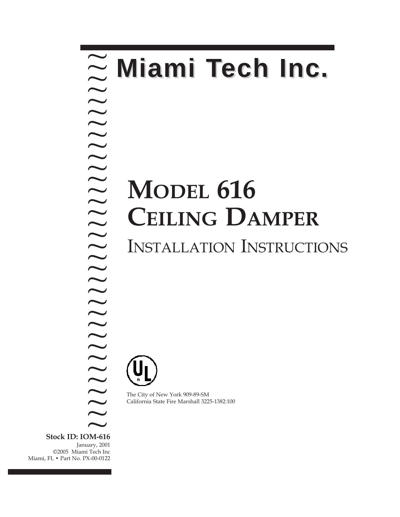### **MODEL 616 CEILING DAMPER** INSTALLATION INSTRUCTIONS **Miami Tech Inc.** ~ ? ? ? ? ? ? ? ? ? ? ? ? ? ? ? ? ? ? ? ? ? ?

The City of New York 909-89-SM California State Fire Marshall 3225-1382:100

**Stock ID: IOM-616** January, 2001 ©2005 Miami Tech Inc Miami, FL • Part No. PX-00-0122 ?  $\sum$ <sub>DM-616</sub>

? ? ? ? ? ? ? ? ?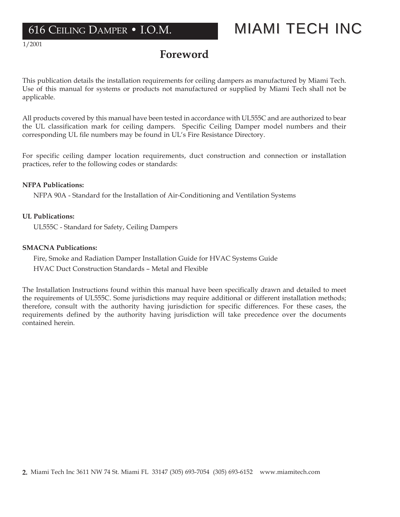1/2001

## **Foreword**

This publication details the installation requirements for ceiling dampers as manufactured by Miami Tech. Use of this manual for systems or products not manufactured or supplied by Miami Tech shall not be applicable.

All products covered by this manual have been tested in accordance with UL555C and are authorized to bear the UL classification mark for ceiling dampers. Specific Ceiling Damper model numbers and their corresponding UL file numbers may be found in UL's Fire Resistance Directory.

For specific ceiling damper location requirements, duct construction and connection or installation practices, refer to the following codes or standards:

#### **NFPA Publications:**

NFPA 90A - Standard for the Installation of Air-Conditioning and Ventilation Systems

### **UL Publications:**

UL555C - Standard for Safety, Ceiling Dampers

### **SMACNA Publications:**

Fire, Smoke and Radiation Damper Installation Guide for HVAC Systems Guide HVAC Duct Construction Standards – Metal and Flexible

The Installation Instructions found within this manual have been specifically drawn and detailed to meet the requirements of UL555C. Some jurisdictions may require additional or different installation methods; therefore, consult with the authority having jurisdiction for specific differences. For these cases, the requirements defined by the authority having jurisdiction will take precedence over the documents contained herein.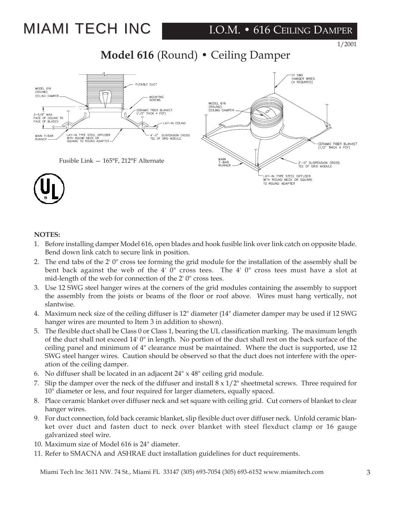# **MIAMI TECH INC**

### I.O.M. • 616 CEILING DAMPER

1/2001

### **Model 616** (Round) **•** Ceiling Damper



#### **NOTES:**

- 1. Before installing damper Model 616, open blades and hook fusible link over link catch on opposite blade. Bend down link catch to secure link in position.
- 2. The end tabs of the 2' 0" cross tee forming the grid module for the installation of the assembly shall be bent back against the web of the 4' 0" cross tees. The 4' 0" cross tees must have a slot at mid-length of the web for connection of the 2' 0" cross tees.
- 3. Use 12 SWG steel hanger wires at the corners of the grid modules containing the assembly to support the assembly from the joists or beams of the floor or roof above. Wires must hang vertically, not slantwise.
- 4. Maximum neck size of the ceiling diffuser is 12" diameter (14" diameter damper may be used if 12 SWG hanger wires are mounted to Item 3 in addition to shown).
- 5. The flexible duct shall be Class 0 or Class 1, bearing the UL classification marking. The maximum length of the duct shall not exceed 14' 0" in length. No portion of the duct shall rest on the back surface of the ceiling panel and minimum of 4" clearance must be maintained. Where the duct is supported, use 12 SWG steel hanger wires. Caution should be observed so that the duct does not interfere with the operation of the ceiling damper.
- 6. No diffuser shall be located in an adjacent  $24'' \times 48''$  ceiling grid module.
- 7. Slip the damper over the neck of the diffuser and install  $8 \times 1/2$ " sheetmetal screws. Three required for 10" diameter or less, and four required for larger diameters, equally spaced.
- 8. Place ceramic blanket over diffuser neck and set square with ceiling grid. Cut corners of blanket to clear hanger wires.
- 9. For duct connection, fold back ceramic blanket, slip flexible duct over diffuser neck. Unfold ceramic blanket over duct and fasten duct to neck over blanket with steel flexduct clamp or 16 gauge galvanized steel wire.
- 10. Maximum size of Model 616 is 24" diameter.
- 11. Refer to SMACNA and ASHRAE duct installation guidelines for duct requirements.

Miami Tech Inc 3611 NW. 74 St., Miami FL 33147 (305) 693-7054 (305) 693-6152 www.miamitech.com 3